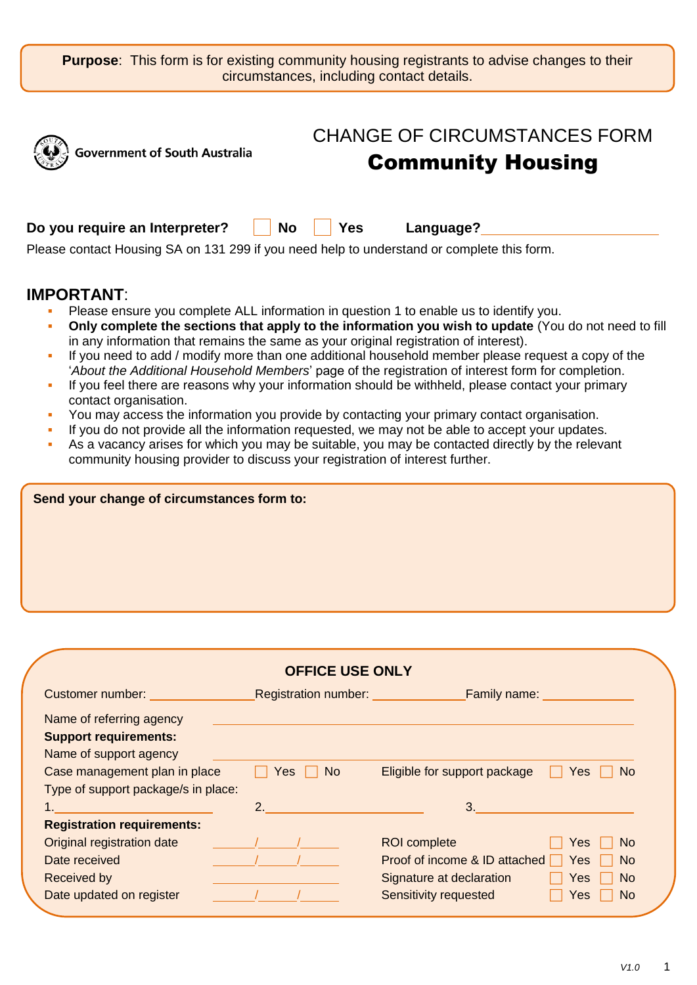**Purpose:** This form is for existing community housing registrants to advise changes to their circumstances, including contact details.

|                                                      | <b>CHANGE OF CIRCUMSTANCES FORM</b>                                                        |  |
|------------------------------------------------------|--------------------------------------------------------------------------------------------|--|
| <b>Government of South Australia</b><br>$\mathbb{R}$ | <b>Community Housing</b>                                                                   |  |
| Do you require an Interpreter?                       | No Yes<br>Language?                                                                        |  |
|                                                      | Please contact Housing SA on 131 299 if you need help to understand or complete this form. |  |

# **IMPORTANT**:

- Please ensure you complete ALL information in question 1 to enable us to identify you.
- **Only complete the sections that apply to the information you wish to update** (You do not need to fill in any information that remains the same as your original registration of interest).
- If you need to add / modify more than one additional household member please request a copy of the '*About the Additional Household Members*' page of the registration of interest form for completion.
- If you feel there are reasons why your information should be withheld, please contact your primary contact organisation.
- You may access the information you provide by contacting your primary contact organisation.
- If you do not provide all the information requested, we may not be able to accept your updates.
- As a vacancy arises for which you may be suitable, you may be contacted directly by the relevant community housing provider to discuss your registration of interest further.

| Send your change of circumstances form to: |  |  |  |  |
|--------------------------------------------|--|--|--|--|
|                                            |  |  |  |  |
|                                            |  |  |  |  |
|                                            |  |  |  |  |
|                                            |  |  |  |  |

|                                          | <b>OFFICE USE ONLY</b>      |                                      |                |
|------------------------------------------|-----------------------------|--------------------------------------|----------------|
| Customer number: Electronic Section 1997 | <b>Registration number:</b> | <b>Family name:</b>                  |                |
| Name of referring agency                 |                             |                                      |                |
| <b>Support requirements:</b>             |                             |                                      |                |
| Name of support agency                   |                             |                                      |                |
| Case management plan in place            | <b>No</b><br>Yes            | Eligible for support package<br>Yes  | No.            |
| Type of support package/s in place:      |                             |                                      |                |
|                                          | 2 <sup>2</sup>              | 3.                                   |                |
| <b>Registration requirements:</b>        |                             |                                      |                |
| Original registration date               |                             | <b>ROI</b> complete<br>Yes           | No.            |
| Date received                            |                             | Proof of income & ID attached<br>Yes | No.            |
| Received by                              |                             | Signature at declaration<br>Yes      | N <sub>o</sub> |
| Date updated on register                 |                             | Sensitivity requested<br>Yes         | No.            |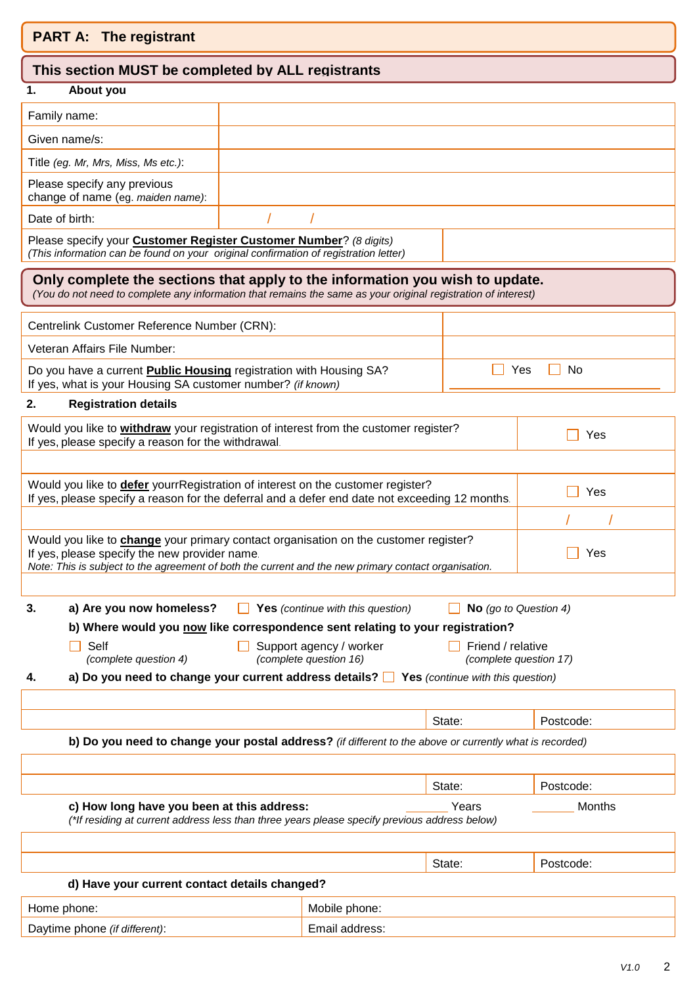| <b>PART A: The registrant</b> |  |
|-------------------------------|--|
|-------------------------------|--|

## **This section MUST be completed by ALL registrants**

### **1. About you**

| Family name:                                                     |  |
|------------------------------------------------------------------|--|
| Given name/s:                                                    |  |
| Title (eg. Mr, Mrs, Miss, Ms etc.):                              |  |
| Please specify any previous<br>change of name (eg. maiden name): |  |
| Date of birth:                                                   |  |
| $-1$<br>$\cdot$ $\cdot$                                          |  |

Please specify your **Customer Register Customer Number**? *(8 digits) (This information can be found on your original confirmation of registration letter)*

## **Only complete the sections that apply to the information you wish to update.**

*(You do not need to complete any information that remains the same as your original registration of interest)*

| Centrelink Customer Reference Number (CRN):                                                                                              |           |
|------------------------------------------------------------------------------------------------------------------------------------------|-----------|
| Veteran Affairs File Number:                                                                                                             |           |
| Do you have a current <b>Public Housing</b> registration with Housing SA?<br>If yes, what is your Housing SA customer number? (if known) | N∩<br>Yes |

### **2. Registration details**

| Would you like to withdraw your registration of interest from the customer register?<br>If yes, please specify a reason for the withdrawal. |
|---------------------------------------------------------------------------------------------------------------------------------------------|
|---------------------------------------------------------------------------------------------------------------------------------------------|

| Would you like to defer yourrRegistration of interest on the customer register?<br>If yes, please specify a reason for the deferral and a defer end date not exceeding 12 months.                                                             | Yes |
|-----------------------------------------------------------------------------------------------------------------------------------------------------------------------------------------------------------------------------------------------|-----|
|                                                                                                                                                                                                                                               |     |
| Would you like to change your primary contact organisation on the customer register?<br>If yes, please specify the new provider name.<br>Note: This is subject to the agreement of both the current and the new primary contact organisation. | Yes |
|                                                                                                                                                                                                                                               |     |

|                                                                                | a) Are you now homeless? | $\Box$ Yes (continue with this question) | $\Box$ No (go to Question 4) |
|--------------------------------------------------------------------------------|--------------------------|------------------------------------------|------------------------------|
| b) Where would you now like correspondence sent relating to your registration? |                          |                                          |                              |

| $\Box$ Self           | $\Box$ Support agency / worker | $\Box$ Friend / relative |
|-----------------------|--------------------------------|--------------------------|
| (complete question 4) | <i>(complete question 16)</i>  | <i>Complete questic</i>  |

| т преп                | Support agency / worker |  | l Friend / relative    |
|-----------------------|-------------------------|--|------------------------|
| (complete question 4) | (complete question 16)  |  | (complete question 17) |

**4. a) Do you need to change your current address details? Yes** *(continue with this question)*

| b) Do you need to change your postal address? (if different to the above or currently what is recorded) |  |
|---------------------------------------------------------------------------------------------------------|--|

| c) How long have you been at this address:                                                    |       |        |
|-----------------------------------------------------------------------------------------------|-------|--------|
| (*If residing at current address less than three years please specify previous address below) | Years | Months |
|                                                                                               |       |        |

|                                               |                | State: | Postcode: |
|-----------------------------------------------|----------------|--------|-----------|
| d) Have your current contact details changed? |                |        |           |
| Mobile phone:<br>Home phone:                  |                |        |           |
| Daytime phone (if different):                 | Email address: |        |           |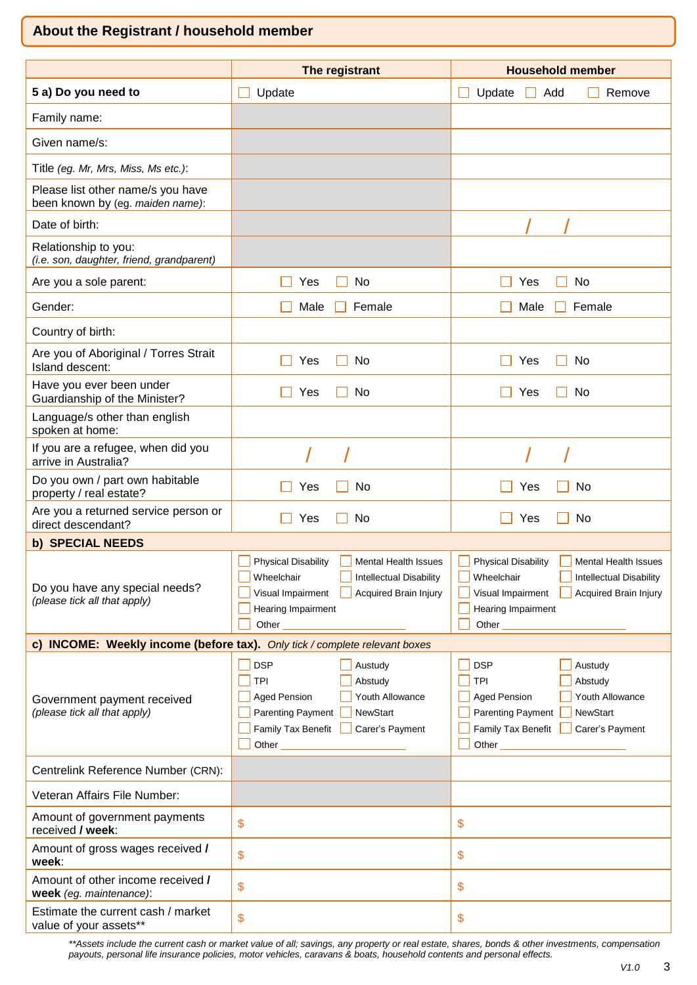# **About the Registrant / household member**

|                                                                       | The registrant                                                                                                                                                                                                                                                                                                                                                                                           | <b>Household member</b>                                                                                                                                                                   |
|-----------------------------------------------------------------------|----------------------------------------------------------------------------------------------------------------------------------------------------------------------------------------------------------------------------------------------------------------------------------------------------------------------------------------------------------------------------------------------------------|-------------------------------------------------------------------------------------------------------------------------------------------------------------------------------------------|
| 5 a) Do you need to                                                   | Update                                                                                                                                                                                                                                                                                                                                                                                                   | Update<br>Add<br>Remove                                                                                                                                                                   |
| Family name:                                                          |                                                                                                                                                                                                                                                                                                                                                                                                          |                                                                                                                                                                                           |
| Given name/s:                                                         |                                                                                                                                                                                                                                                                                                                                                                                                          |                                                                                                                                                                                           |
| Title (eg. Mr, Mrs, Miss, Ms etc.):                                   |                                                                                                                                                                                                                                                                                                                                                                                                          |                                                                                                                                                                                           |
| Please list other name/s you have<br>been known by (eg. maiden name): |                                                                                                                                                                                                                                                                                                                                                                                                          |                                                                                                                                                                                           |
| Date of birth:                                                        |                                                                                                                                                                                                                                                                                                                                                                                                          |                                                                                                                                                                                           |
| Relationship to you:<br>(i.e. son, daughter, friend, grandparent)     |                                                                                                                                                                                                                                                                                                                                                                                                          |                                                                                                                                                                                           |
| Are you a sole parent:                                                | No<br>Yes                                                                                                                                                                                                                                                                                                                                                                                                | No<br>Yes                                                                                                                                                                                 |
| Gender:                                                               | Male<br>Female                                                                                                                                                                                                                                                                                                                                                                                           | Male<br>Female                                                                                                                                                                            |
| Country of birth:                                                     |                                                                                                                                                                                                                                                                                                                                                                                                          |                                                                                                                                                                                           |
| Are you of Aboriginal / Torres Strait<br>Island descent:              | No<br>Yes                                                                                                                                                                                                                                                                                                                                                                                                | Yes<br>No                                                                                                                                                                                 |
| Have you ever been under<br>Guardianship of the Minister?             | No<br>Yes                                                                                                                                                                                                                                                                                                                                                                                                | Yes<br>No                                                                                                                                                                                 |
| Language/s other than english<br>spoken at home:                      |                                                                                                                                                                                                                                                                                                                                                                                                          |                                                                                                                                                                                           |
| If you are a refugee, when did you<br>arrive in Australia?            |                                                                                                                                                                                                                                                                                                                                                                                                          |                                                                                                                                                                                           |
| Do you own / part own habitable<br>property / real estate?            | No<br>Yes                                                                                                                                                                                                                                                                                                                                                                                                | No<br>Yes                                                                                                                                                                                 |
| Are you a returned service person or<br>direct descendant?            | Yes<br>No                                                                                                                                                                                                                                                                                                                                                                                                | No<br>Yes                                                                                                                                                                                 |
| b) SPECIAL NEEDS                                                      |                                                                                                                                                                                                                                                                                                                                                                                                          |                                                                                                                                                                                           |
| Do you have any special needs?<br>(please tick all that apply)        | <b>Physical Disability</b><br><b>Mental Health Issues</b><br>Wheelchair<br><b>Intellectual Disability</b><br>Visual Impairment   Acquired Brain Injury<br>Hearing Impairment<br>Other                                                                                                                                                                                                                    | <b>Physical Disability</b><br><b>Mental Health Issues</b><br>Wheelchair<br><b>Intellectual Disability</b><br>Acquired Brain Injury<br>Visual Impairment<br>Hearing Impairment<br>Other    |
|                                                                       | c) INCOME: Weekly income (before tax). Only tick / complete relevant boxes                                                                                                                                                                                                                                                                                                                               |                                                                                                                                                                                           |
| Government payment received<br>(please tick all that apply)           | <b>DSP</b><br>$\Box$ Austudy<br><b>TPI</b><br>Abstudy<br>Youth Allowance<br><b>Aged Pension</b><br>NewStart<br>Parenting Payment<br>Family Tax Benefit Carer's Payment<br>Other the contract of the contract of the contract of the contract of the contract of the contract of the contract of the contract of the contract of the contract of the contract of the contract of the contract of the cont | <b>DSP</b><br>Austudy<br><b>TPI</b><br>Abstudy<br>Youth Allowance<br><b>Aged Pension</b><br><b>Parenting Payment</b><br><b>NewStart</b><br>Family Tax Benefit<br>Carer's Payment<br>Other |
| Centrelink Reference Number (CRN):                                    |                                                                                                                                                                                                                                                                                                                                                                                                          |                                                                                                                                                                                           |
| Veteran Affairs File Number:                                          |                                                                                                                                                                                                                                                                                                                                                                                                          |                                                                                                                                                                                           |
| Amount of government payments<br>received / week:                     | \$                                                                                                                                                                                                                                                                                                                                                                                                       | \$                                                                                                                                                                                        |
| Amount of gross wages received /<br>week:                             | \$                                                                                                                                                                                                                                                                                                                                                                                                       | \$                                                                                                                                                                                        |
| Amount of other income received /<br>week (eg. maintenance):          | \$                                                                                                                                                                                                                                                                                                                                                                                                       | \$                                                                                                                                                                                        |
| Estimate the current cash / market<br>value of your assets**          | \$                                                                                                                                                                                                                                                                                                                                                                                                       | \$                                                                                                                                                                                        |

*\*\*Assets include the current cash or market value of all; savings, any property or real estate, shares, bonds & other investments, compensation payouts, personal life insurance policies, motor vehicles, caravans & boats, household contents and personal effects.*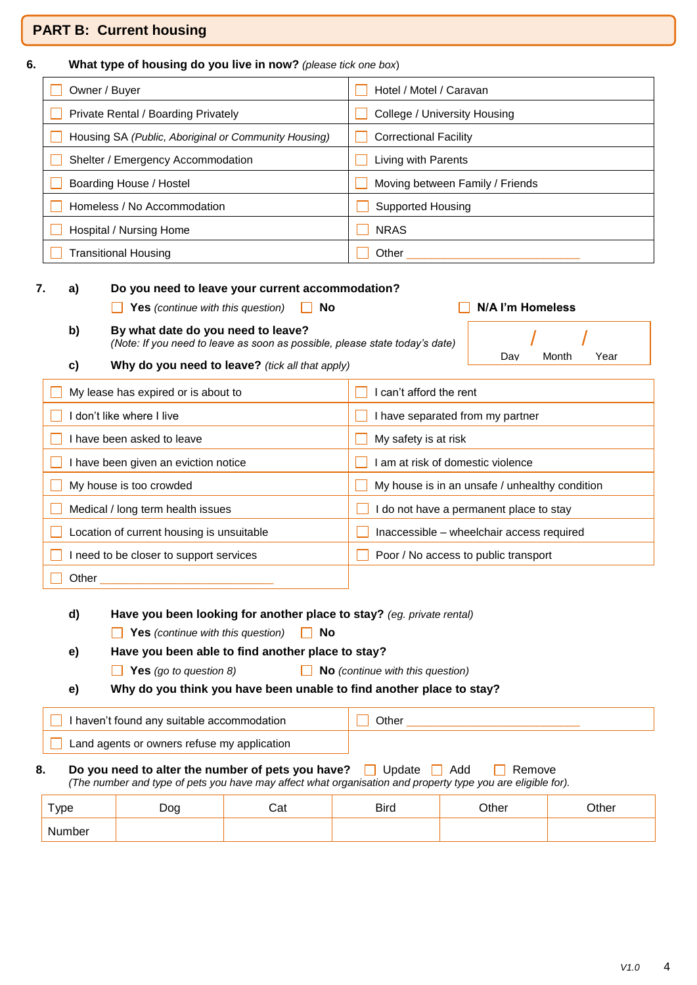### **PART B: Current housing**

| 6. |                                      | What type of housing do you live in now? (please tick one box)                                                    |                                 |  |  |  |
|----|--------------------------------------|-------------------------------------------------------------------------------------------------------------------|---------------------------------|--|--|--|
|    |                                      | Owner / Buyer<br>Hotel / Motel / Caravan                                                                          |                                 |  |  |  |
|    |                                      | Private Rental / Boarding Privately                                                                               | College / University Housing    |  |  |  |
|    |                                      | Housing SA (Public, Aboriginal or Community Housing)                                                              | <b>Correctional Facility</b>    |  |  |  |
|    |                                      | Shelter / Emergency Accommodation                                                                                 | Living with Parents             |  |  |  |
|    |                                      | Boarding House / Hostel                                                                                           | Moving between Family / Friends |  |  |  |
|    |                                      | Homeless / No Accommodation                                                                                       | Supported Housing               |  |  |  |
|    |                                      | Hospital / Nursing Home                                                                                           | <b>NRAS</b>                     |  |  |  |
|    | <b>Transitional Housing</b><br>Other |                                                                                                                   |                                 |  |  |  |
| 7. | a)                                   | Do you need to leave your current accommodation?<br><b>Yes</b> (continue with this question)<br>No                | N/A I'm Homeless                |  |  |  |
|    | b)                                   | By what date do you need to leave?<br>(Note: If you need to leave as soon as possible, please state today's date) |                                 |  |  |  |
|    | c)                                   | Why do you need to leave? (tick all that apply)                                                                   | Dav<br>Month<br>Year            |  |  |  |
|    |                                      |                                                                                                                   |                                 |  |  |  |

| My lease has expired or is about to       | I can't afford the rent                        |
|-------------------------------------------|------------------------------------------------|
| don't like where I live                   | I have separated from my partner               |
| have been asked to leave                  | My safety is at risk                           |
| have been given an eviction notice        | am at risk of domestic violence                |
| My house is too crowded                   | My house is in an unsafe / unhealthy condition |
| Medical / long term health issues         | do not have a permanent place to stay          |
| Location of current housing is unsuitable | Inaccessible - wheelchair access required      |
| need to be closer to support services     | Poor / No access to public transport           |
| Other                                     |                                                |

**d) Have you been looking for another place to stay?** *(eg. private rental)*

**No** Yes *(continue with this question)* 10

**e) Have you been able to find another place to stay?**

**Yes** *(go to question 8)* **No** *(continue with this question)*

**e) Why do you think you have been unable to find another place to stay?**

| I haven't found any suitable accommodation  | )ther |
|---------------------------------------------|-------|
| Land agents or owners refuse my application |       |

### **8.** Do you need to alter the number of pets you have?  $\Box$  Update  $\Box$  Add  $\Box$  Remove *(The number and type of pets you have may affect what organisation and property type you are eligible for).*

| $_{\rm Type}$ | Doa | י הי<br>Jαι | <b>Bird</b> | <b>Other</b> | <b>Other</b> |
|---------------|-----|-------------|-------------|--------------|--------------|
| Number        |     |             |             |              |              |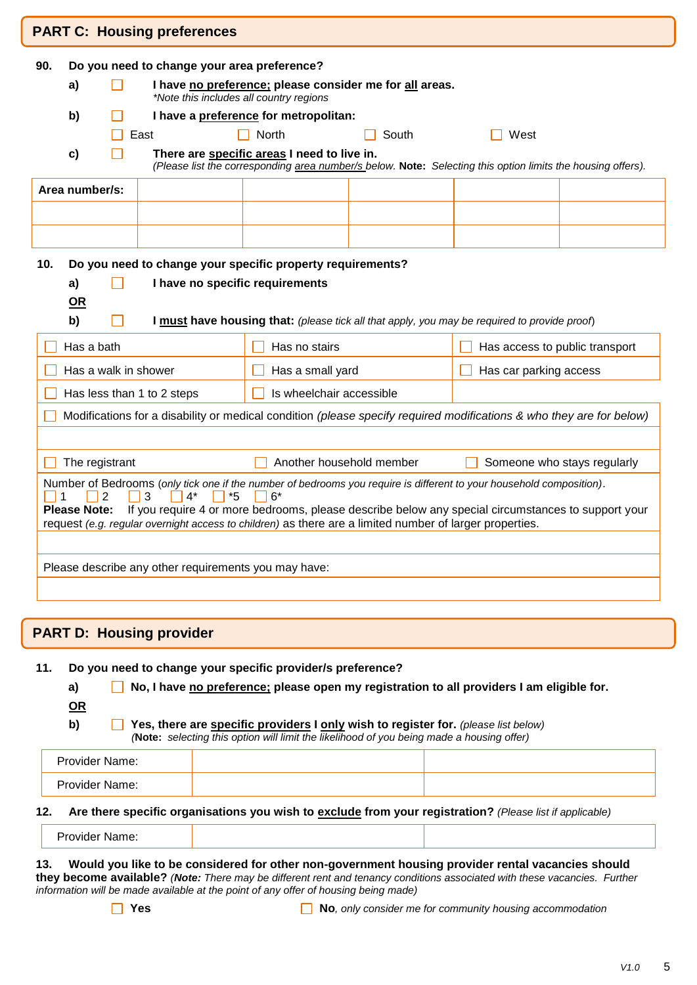|                                                                                                                                                                                                                                                                                                                                                                                               |                                                                                                          |  | <b>PART C: Housing preferences</b>                   |                                                            |       |                                                                                                                      |                             |
|-----------------------------------------------------------------------------------------------------------------------------------------------------------------------------------------------------------------------------------------------------------------------------------------------------------------------------------------------------------------------------------------------|----------------------------------------------------------------------------------------------------------|--|------------------------------------------------------|------------------------------------------------------------|-------|----------------------------------------------------------------------------------------------------------------------|-----------------------------|
| Do you need to change your area preference?<br>90.                                                                                                                                                                                                                                                                                                                                            |                                                                                                          |  |                                                      |                                                            |       |                                                                                                                      |                             |
|                                                                                                                                                                                                                                                                                                                                                                                               | I have no preference; please consider me for all areas.<br>a)<br>*Note this includes all country regions |  |                                                      |                                                            |       |                                                                                                                      |                             |
|                                                                                                                                                                                                                                                                                                                                                                                               | I have a preference for metropolitan:<br>b)                                                              |  |                                                      |                                                            |       |                                                                                                                      |                             |
|                                                                                                                                                                                                                                                                                                                                                                                               |                                                                                                          |  | East                                                 | $\Box$ North                                               | South | West                                                                                                                 |                             |
|                                                                                                                                                                                                                                                                                                                                                                                               | c)                                                                                                       |  |                                                      | There are specific areas I need to live in.                |       | (Please list the corresponding area number/s below. Note: Selecting this option limits the housing offers).          |                             |
|                                                                                                                                                                                                                                                                                                                                                                                               | Area number/s:                                                                                           |  |                                                      |                                                            |       |                                                                                                                      |                             |
|                                                                                                                                                                                                                                                                                                                                                                                               |                                                                                                          |  |                                                      |                                                            |       |                                                                                                                      |                             |
|                                                                                                                                                                                                                                                                                                                                                                                               |                                                                                                          |  |                                                      |                                                            |       |                                                                                                                      |                             |
| 10.                                                                                                                                                                                                                                                                                                                                                                                           |                                                                                                          |  |                                                      | Do you need to change your specific property requirements? |       |                                                                                                                      |                             |
|                                                                                                                                                                                                                                                                                                                                                                                               | a)                                                                                                       |  | I have no specific requirements                      |                                                            |       |                                                                                                                      |                             |
|                                                                                                                                                                                                                                                                                                                                                                                               | $OR$                                                                                                     |  |                                                      |                                                            |       |                                                                                                                      |                             |
|                                                                                                                                                                                                                                                                                                                                                                                               | b)                                                                                                       |  |                                                      |                                                            |       | I must have housing that: (please tick all that apply, you may be required to provide proof)                         |                             |
|                                                                                                                                                                                                                                                                                                                                                                                               | Has a bath                                                                                               |  |                                                      | Has no stairs                                              |       | Has access to public transport                                                                                       |                             |
|                                                                                                                                                                                                                                                                                                                                                                                               |                                                                                                          |  | Has a walk in shower                                 | Has a small yard                                           |       | Has car parking access                                                                                               |                             |
|                                                                                                                                                                                                                                                                                                                                                                                               |                                                                                                          |  | Has less than 1 to 2 steps                           | Is wheelchair accessible                                   |       |                                                                                                                      |                             |
|                                                                                                                                                                                                                                                                                                                                                                                               |                                                                                                          |  |                                                      |                                                            |       | Modifications for a disability or medical condition (please specify required modifications & who they are for below) |                             |
|                                                                                                                                                                                                                                                                                                                                                                                               |                                                                                                          |  |                                                      |                                                            |       |                                                                                                                      |                             |
|                                                                                                                                                                                                                                                                                                                                                                                               | The registrant                                                                                           |  |                                                      | Another household member                                   |       |                                                                                                                      | Someone who stays regularly |
| Number of Bedrooms (only tick one if the number of bedrooms you require is different to your household composition).<br>2<br>$6*$<br>3<br>$4^*$<br>*5<br><b>Please Note:</b><br>If you require 4 or more bedrooms, please describe below any special circumstances to support your<br>request (e.g. regular overnight access to children) as there are a limited number of larger properties. |                                                                                                          |  |                                                      |                                                            |       |                                                                                                                      |                             |
|                                                                                                                                                                                                                                                                                                                                                                                               |                                                                                                          |  | Please describe any other requirements you may have: |                                                            |       |                                                                                                                      |                             |

## **PART D: Housing provider**

### **11. Do you need to change your specific provider/s preference?**

**a) No, I have no preference; please open my registration to all providers I am eligible for.**

**OR**

**b) Yes, there are specific providers I only wish to register for.** *(please list below) (***Note:** *selecting this option will limit the likelihood of you being made a housing offer)*

| Provider Name:        |  |
|-----------------------|--|
| <b>Provider Name:</b> |  |

### **12. Are there specific organisations you wish to exclude from your registration?** *(Please list if applicable)*

#### **13. Would you like to be considered for other non-government housing provider rental vacancies should they become available?** *(Note: There may be different rent and tenancy conditions associated with these vacancies. Further information will be made available at the point of any offer of housing being made)*

**No**, only consider me for community housing accommodation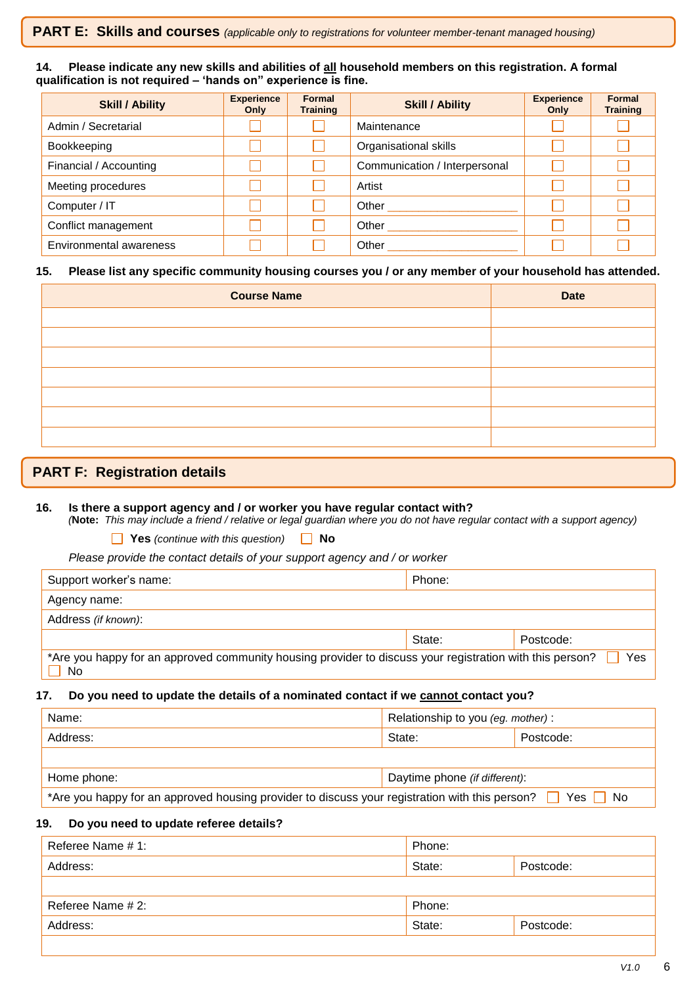### **14. Please indicate any new skills and abilities of all household members on this registration. A formal qualification is not required – 'hands on" experience is fine.**

| <b>Skill / Ability</b>  | <b>Experience</b><br>Only | Formal<br><b>Training</b> | <b>Skill / Ability</b>        | <b>Experience</b><br>Only | Formal<br><b>Training</b> |
|-------------------------|---------------------------|---------------------------|-------------------------------|---------------------------|---------------------------|
| Admin / Secretarial     |                           |                           | Maintenance                   |                           |                           |
| Bookkeeping             |                           |                           | Organisational skills         |                           |                           |
| Financial / Accounting  |                           |                           | Communication / Interpersonal |                           |                           |
| Meeting procedures      |                           |                           | Artist                        |                           |                           |
| Computer / IT           |                           |                           | Other                         |                           |                           |
| Conflict management     |                           |                           | Other                         |                           |                           |
| Environmental awareness |                           |                           | Other                         |                           |                           |

### **15. Please list any specific community housing courses you / or any member of your household has attended.**

| <b>Course Name</b> | <b>Date</b> |
|--------------------|-------------|
|                    |             |
|                    |             |
|                    |             |
|                    |             |
|                    |             |
|                    |             |
|                    |             |

## **PART F: Registration details**

### **16. Is there a support agency and / or worker you have regular contact with?**

*(***Note:** *This may include a friend / relative or legal guardian where you do not have regular contact with a support agency)*

**Yes** *(continue with this question)* **No**

*Please provide the contact details of your support agency and / or worker*

| Support worker's name:                                                                                         | Phone: |           |
|----------------------------------------------------------------------------------------------------------------|--------|-----------|
| Agency name:                                                                                                   |        |           |
| Address (if known):                                                                                            |        |           |
|                                                                                                                | State: | Postcode: |
| *Are you happy for an approved community housing provider to discuss your registration with this person?<br>No |        | Yes       |

### **17. Do you need to update the details of a nominated contact if we cannot contact you?**

| Name:                                                                                          | Relationship to you (eg. mother): |            |
|------------------------------------------------------------------------------------------------|-----------------------------------|------------|
| Address:                                                                                       | State:                            | Postcode:  |
|                                                                                                |                                   |            |
| Home phone:                                                                                    | Daytime phone (if different):     |            |
| *Are you happy for an approved housing provider to discuss your registration with this person? |                                   | Yes     No |

### **19. Do you need to update referee details?**

| Referee Name # 1: | Phone: |           |
|-------------------|--------|-----------|
| Address:          | State: | Postcode: |
|                   |        |           |
| Referee Name # 2: | Phone: |           |
| Address:          | State: | Postcode: |
|                   |        |           |